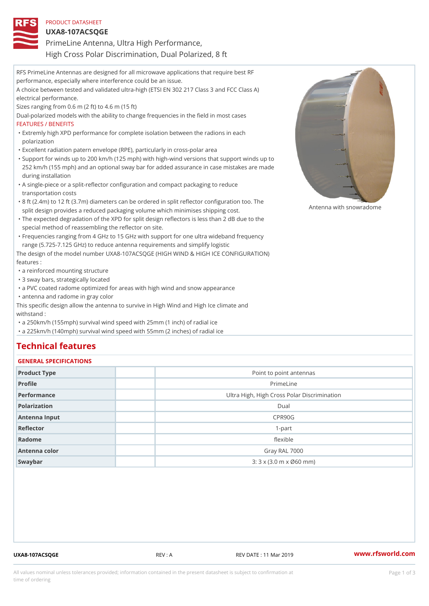| PRODUCT DATASHEET                                                                                                                                                                              |
|------------------------------------------------------------------------------------------------------------------------------------------------------------------------------------------------|
| $UXA8-107ACSQGE$                                                                                                                                                                               |
| PrimeLine Antenna, Ultra High Performance,                                                                                                                                                     |
| High Cross Polar Discrimination, Dual Polarized, 8 ft                                                                                                                                          |
| RFS PrimeLine Antennas are designed for all microwave applications that require best RF                                                                                                        |
| performance, especially where interference could be an issue.                                                                                                                                  |
| A choice between tested and validated ultra-high (ETSI EN 302 217 Class 3 and FCC Class A)                                                                                                     |
| electrical performance.                                                                                                                                                                        |
| Sizes ranging from 0.6 m (2 ft) to 4.6 m (15 ft)                                                                                                                                               |
| Dual-polarized models with the ability to change frequencies in the field in most cases                                                                                                        |
| <b>FEATURES / BENEFITS</b>                                                                                                                                                                     |
| "Extremly high XPD performance for complete isolation between the radions in each                                                                                                              |
| polarization                                                                                                                                                                                   |
| "Excellent radiation patern envelope (RPE), particularly in cross-polar area                                                                                                                   |
| "Support for winds up to 200 km/h (125 mph) with high-wind versions that support winds up to                                                                                                   |
| 252 km/h (155 mph) and an optional sway bar for added assurance in case mistakes are made                                                                                                      |
| during installation                                                                                                                                                                            |
| "A single-piece or a split-reflector configuration and compact packaging to reduce                                                                                                             |
| transportation costs                                                                                                                                                                           |
| "8 ft (2.4m) to 12 ft (3.7m) diameters can be ordered in split reflector configuration too. The<br>split design provides a reduced packaging volume which minimises shippingnaowith snowradome |
| "The expected degradation of the XPD for split design reflectors is less than 2 dB due to the                                                                                                  |
| special method of reassembling the reflector on site.                                                                                                                                          |
| "Frequencies ranging from 4 GHz to 15 GHz with support for one ultra wideband frequency                                                                                                        |
| range (5.725-7.125 GHz) to reduce antenna requirements and simplify logistic                                                                                                                   |
| The design of the model number UXA8-107ACSQGE (HIGH WIND & HIGH ICE CONFIGURATION)                                                                                                             |
| features :                                                                                                                                                                                     |
| "a reinforced mounting structure                                                                                                                                                               |
| "3 sway bars, strategically located                                                                                                                                                            |
| "a PVC coated radome optimized for areas with high wind and snow appearance                                                                                                                    |
| "antenna and radome in gray color                                                                                                                                                              |
| This specific design allow the antenna to survive in High Wind and High Ice climate and                                                                                                        |
| withstand:                                                                                                                                                                                     |
| "a 250km/h (155mph) survival wind speed with 25mm (1 inch) of radial ice                                                                                                                       |
| "a 225km/h (140mph) survival wind speed with 55mm (2 inches) of radial ice                                                                                                                     |
|                                                                                                                                                                                                |

# Technical features

## GENERAL SPECIFICATIONS

| OLIVEIVAL OI LOII IOA I IOIVO |                                                             |
|-------------------------------|-------------------------------------------------------------|
| Product Type                  | Point to point antennas                                     |
| Profile                       | PrimeLine                                                   |
| Performance                   | Ultra High, High Cross Polar Discrimination                 |
| Polarization                  | Dual                                                        |
| Antenna Input                 | CPR90G                                                      |
| Reflector                     | $1-part$                                                    |
| Radome                        | flexible                                                    |
| Antenna color                 | Gray RAL 7000                                               |
| Swaybar                       | $3:3 \times (3.0 \text{ m} \times \emptyset 60 \text{ mm})$ |

UXA8-107ACSQGE REV : A REV REV DATE : 11 Mar 2019 WWW.rfsworld.com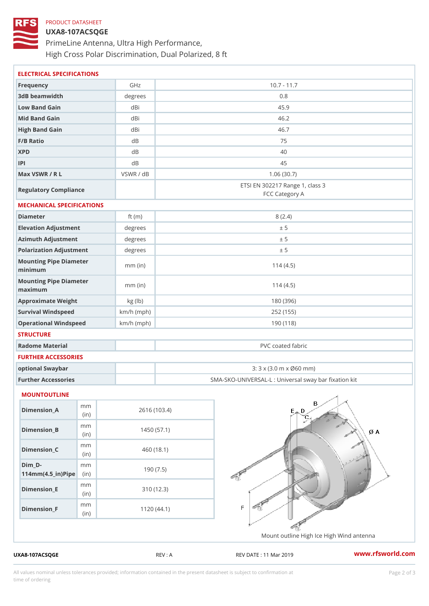#### PRODUCT DATASHEET

# UXA8-107ACSQGE PrimeLine Antenna, Ultra High Performance, High Cross Polar Discrimination, Dual Polarized, 8 ft

| ELECTRICAL SPECIFICATIONS                       |              |                                                      |  |  |
|-------------------------------------------------|--------------|------------------------------------------------------|--|--|
| Frequency                                       | GHz          | $10.7 - 11.7$                                        |  |  |
| 3dB beamwidth                                   | degrees      | 0.8                                                  |  |  |
| Low Band Gain                                   | dBi          | 45.9                                                 |  |  |
| Mid Band Gain                                   | dBi          | 46.2                                                 |  |  |
| High Band Gain                                  | dBi          | 46.7                                                 |  |  |
| F/B Ratio                                       | $d$ B        | 75                                                   |  |  |
| <b>XPD</b>                                      | d B          | 40                                                   |  |  |
| P                                               | $d$ B        | 45                                                   |  |  |
| Max VSWR / R L                                  | VSWR / dB    | 1.06(30.7)                                           |  |  |
| Regulatory Compliance                           |              | ETSI EN 302217 Range 1, class 3<br>FCC Category A    |  |  |
| MECHANICAL SPECIFICATIONS                       |              |                                                      |  |  |
| Diameter                                        | ft $(m)$     | 8(2.4)                                               |  |  |
| Elevation Adjustment                            | degrees      | ± 5                                                  |  |  |
| Azimuth Adjustment                              | degrees      | ± 5                                                  |  |  |
| Polarization Adjustment                         | degrees      | ± 5                                                  |  |  |
| Mounting Pipe Diameter<br>minimum               | $mm$ (in)    | 114(4.5)                                             |  |  |
| Mounting Pipe Diameter<br>maximum               | $mm$ (in)    | 114(4.5)                                             |  |  |
| Approximate Weight                              | kg (lb)      | 180 (396)                                            |  |  |
| Survival Windspeed                              | $km/h$ (mph) | 252 (155)                                            |  |  |
| Operational Windspeed                           | $km/h$ (mph) | 190 (118)                                            |  |  |
| <b>STRUCTURE</b>                                |              |                                                      |  |  |
| Radome Material                                 |              | PVC coated fabric                                    |  |  |
| FURTHER ACCESSORIES                             |              |                                                      |  |  |
| optional Swaybar                                |              | 3: 3 x (3.0 m x Ø60 mm)                              |  |  |
| Further Accessories                             |              | SMA-SKO-UNIVERSAL-L : Universal sway bar fixation    |  |  |
| MOUNTOUTLINE                                    |              |                                                      |  |  |
| m m<br>$Dimen sion_A$<br>(in)                   |              | 2616 (103.4)                                         |  |  |
| m m<br>$Dimension_B$<br>(in)                    |              | 1450(57.1)                                           |  |  |
| m m<br>$Dimension_C$<br>(in                     |              | 460 (18.1)                                           |  |  |
| $Dim_D - D -$<br>m m<br>$114mm(4.5_{ir})$ $Rip$ |              | 190(7.5)                                             |  |  |
| m m<br>$Dimension$ = E<br>(in                   |              | 310 (12.3)                                           |  |  |
| m m<br>$Dimension_F$<br>(in)                    |              | 1120(44.1)                                           |  |  |
|                                                 |              | Mount outline High Ice High Wind antenn              |  |  |
| UXA8-107ACSQGE                                  |              | www.rfsworld.co<br>REV : A<br>REV DATE : 11 Mar 2019 |  |  |

All values nominal unless tolerances provided; information contained in the present datasheet is subject to Pcapgelio an atio time of ordering